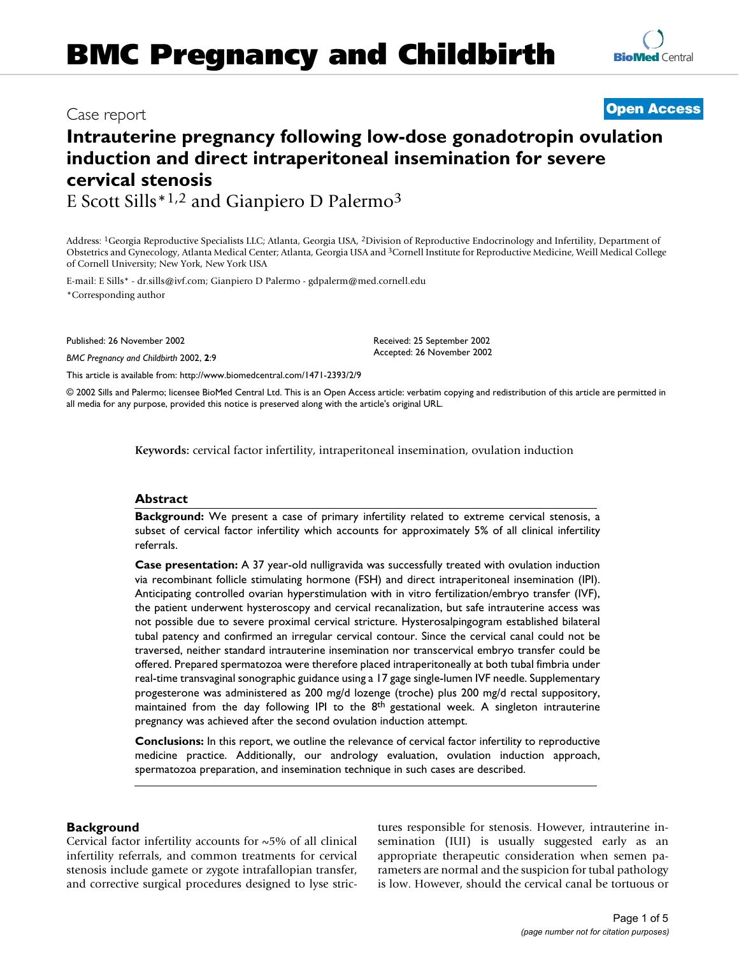# **Intrauterine pregnancy following low-dose gonadotropin ovulation induction and direct intraperitoneal insemination for severe cervical stenosis**

E Scott Sills\*1,2 and Gianpiero D Palermo3

Address: 1Georgia Reproductive Specialists LLC; Atlanta, Georgia USA, 2Division of Reproductive Endocrinology and Infertility, Department of Obstetrics and Gynecology, Atlanta Medical Center; Atlanta, Georgia USA and 3Cornell Institute for Reproductive Medicine, Weill Medical College

of Cornell University; New York, New York USA

E-mail: E Sills\* - dr.sills@ivf.com; Gianpiero D Palermo - gdpalerm@med.cornell.edu \*Corresponding author

Published: 26 November 2002

*BMC Pregnancy and Childbirth* 2002, **2**:9

Received: 25 September 2002 Accepted: 26 November 2002

[This article is available from: http://www.biomedcentral.com/1471-2393/2/9](http://www.biomedcentral.com/1471-2393/2/9)

© 2002 Sills and Palermo; licensee BioMed Central Ltd. This is an Open Access article: verbatim copying and redistribution of this article are permitted in all media for any purpose, provided this notice is preserved along with the article's original URL.

**Keywords:** cervical factor infertility, intraperitoneal insemination, ovulation induction

# **Abstract**

**Background:** We present a case of primary infertility related to extreme cervical stenosis, a subset of cervical factor infertility which accounts for approximately 5% of all clinical infertility referrals.

**Case presentation:** A 37 year-old nulligravida was successfully treated with ovulation induction via recombinant follicle stimulating hormone (FSH) and direct intraperitoneal insemination (IPI). Anticipating controlled ovarian hyperstimulation with in vitro fertilization/embryo transfer (IVF), the patient underwent hysteroscopy and cervical recanalization, but safe intrauterine access was not possible due to severe proximal cervical stricture. Hysterosalpingogram established bilateral tubal patency and confirmed an irregular cervical contour. Since the cervical canal could not be traversed, neither standard intrauterine insemination nor transcervical embryo transfer could be offered. Prepared spermatozoa were therefore placed intraperitoneally at both tubal fimbria under real-time transvaginal sonographic guidance using a 17 gage single-lumen IVF needle. Supplementary progesterone was administered as 200 mg/d lozenge (troche) plus 200 mg/d rectal suppository, maintained from the day following IPI to the  $8<sup>th</sup>$  gestational week. A singleton intrauterine pregnancy was achieved after the second ovulation induction attempt.

**Conclusions:** In this report, we outline the relevance of cervical factor infertility to reproductive medicine practice. Additionally, our andrology evaluation, ovulation induction approach, spermatozoa preparation, and insemination technique in such cases are described.

# **Background**

Cervical factor infertility accounts for ~5% of all clinical infertility referrals, and common treatments for cervical stenosis include gamete or zygote intrafallopian transfer, and corrective surgical procedures designed to lyse strictures responsible for stenosis. However, intrauterine insemination (IUI) is usually suggested early as an appropriate therapeutic consideration when semen parameters are normal and the suspicion for tubal pathology is low. However, should the cervical canal be tortuous or



# BMC Pregnancy and Childbirth 2002, 2 <sup>x</sup> **[Open Access](http://www.biomedcentral.com/info/about/charter/)** Case report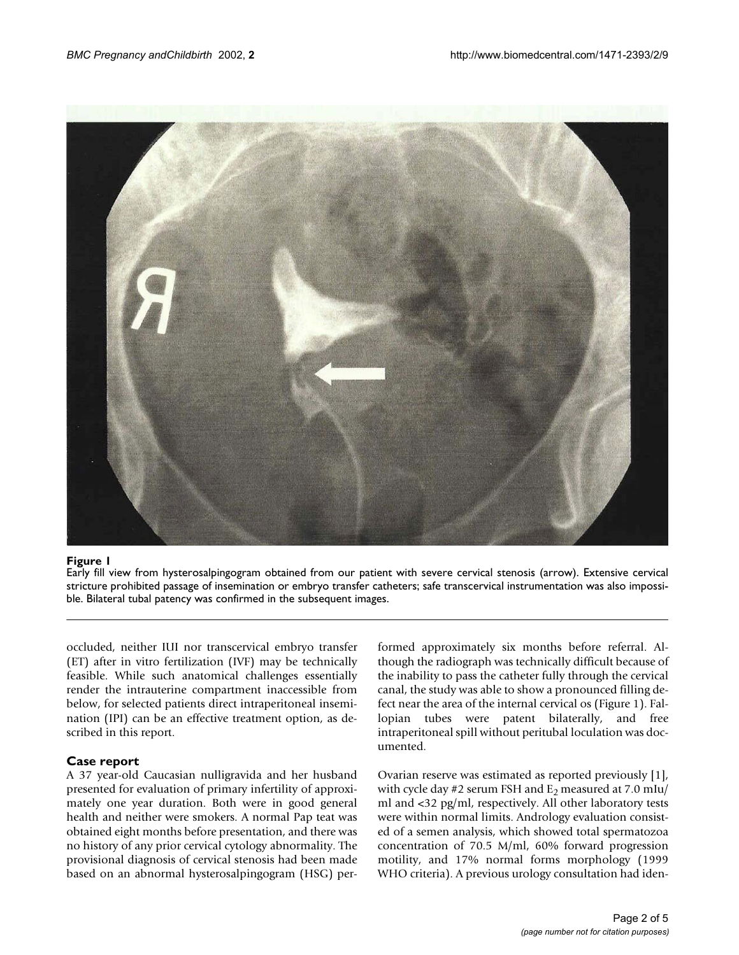

### **Figure 1**

Early fill view from hysterosalpingogram obtained from our patient with severe cervical stenosis (arrow). Extensive cervical stricture prohibited passage of insemination or embryo transfer catheters; safe transcervical instrumentation was also impossible. Bilateral tubal patency was confirmed in the subsequent images.

occluded, neither IUI nor transcervical embryo transfer (ET) after in vitro fertilization (IVF) may be technically feasible. While such anatomical challenges essentially render the intrauterine compartment inaccessible from below, for selected patients direct intraperitoneal insemination (IPI) can be an effective treatment option, as described in this report.

### **Case report**

A 37 year-old Caucasian nulligravida and her husband presented for evaluation of primary infertility of approximately one year duration. Both were in good general health and neither were smokers. A normal Pap teat was obtained eight months before presentation, and there was no history of any prior cervical cytology abnormality. The provisional diagnosis of cervical stenosis had been made based on an abnormal hysterosalpingogram (HSG) performed approximately six months before referral. Although the radiograph was technically difficult because of the inability to pass the catheter fully through the cervical canal, the study was able to show a pronounced filling defect near the area of the internal cervical os (Figure 1). Fallopian tubes were patent bilaterally, and free intraperitoneal spill without peritubal loculation was documented.

Ovarian reserve was estimated as reported previously [1], with cycle day #2 serum FSH and  $E_2$  measured at 7.0 mIu/ ml and <32 pg/ml, respectively. All other laboratory tests were within normal limits. Andrology evaluation consisted of a semen analysis, which showed total spermatozoa concentration of 70.5 M/ml, 60% forward progression motility, and 17% normal forms morphology (1999 WHO criteria). A previous urology consultation had iden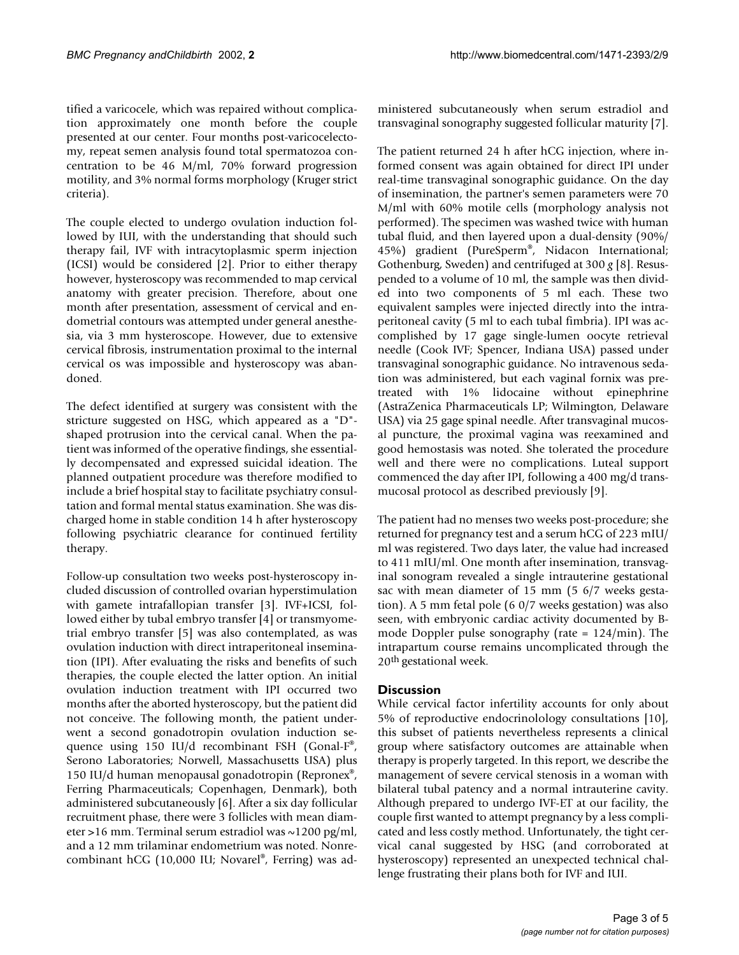tified a varicocele, which was repaired without complication approximately one month before the couple presented at our center. Four months post-varicocelectomy, repeat semen analysis found total spermatozoa concentration to be 46 M/ml, 70% forward progression motility, and 3% normal forms morphology (Kruger strict criteria).

The couple elected to undergo ovulation induction followed by IUI, with the understanding that should such therapy fail, IVF with intracytoplasmic sperm injection (ICSI) would be considered [2]. Prior to either therapy however, hysteroscopy was recommended to map cervical anatomy with greater precision. Therefore, about one month after presentation, assessment of cervical and endometrial contours was attempted under general anesthesia, via 3 mm hysteroscope. However, due to extensive cervical fibrosis, instrumentation proximal to the internal cervical os was impossible and hysteroscopy was abandoned.

The defect identified at surgery was consistent with the stricture suggested on HSG, which appeared as a "D" shaped protrusion into the cervical canal. When the patient was informed of the operative findings, she essentially decompensated and expressed suicidal ideation. The planned outpatient procedure was therefore modified to include a brief hospital stay to facilitate psychiatry consultation and formal mental status examination. She was discharged home in stable condition 14 h after hysteroscopy following psychiatric clearance for continued fertility therapy.

Follow-up consultation two weeks post-hysteroscopy included discussion of controlled ovarian hyperstimulation with gamete intrafallopian transfer [3]. IVF+ICSI, followed either by tubal embryo transfer [4] or transmyometrial embryo transfer [5] was also contemplated, as was ovulation induction with direct intraperitoneal insemination (IPI). After evaluating the risks and benefits of such therapies, the couple elected the latter option. An initial ovulation induction treatment with IPI occurred two months after the aborted hysteroscopy, but the patient did not conceive. The following month, the patient underwent a second gonadotropin ovulation induction sequence using 150 IU/d recombinant FSH (Gonal-F®, Serono Laboratories; Norwell, Massachusetts USA) plus 150 IU/d human menopausal gonadotropin (Repronex®, Ferring Pharmaceuticals; Copenhagen, Denmark), both administered subcutaneously [6]. After a six day follicular recruitment phase, there were 3 follicles with mean diameter >16 mm. Terminal serum estradiol was  $\sim$ 1200 pg/ml, and a 12 mm trilaminar endometrium was noted. Nonrecombinant hCG (10,000 IU; Novarel®, Ferring) was administered subcutaneously when serum estradiol and transvaginal sonography suggested follicular maturity [7].

The patient returned 24 h after hCG injection, where informed consent was again obtained for direct IPI under real-time transvaginal sonographic guidance. On the day of insemination, the partner's semen parameters were 70 M/ml with 60% motile cells (morphology analysis not performed). The specimen was washed twice with human tubal fluid, and then layered upon a dual-density (90%/ 45%) gradient (PureSperm®, Nidacon International; Gothenburg, Sweden) and centrifuged at 300 *g* [8]. Resuspended to a volume of 10 ml, the sample was then divided into two components of 5 ml each. These two equivalent samples were injected directly into the intraperitoneal cavity (5 ml to each tubal fimbria). IPI was accomplished by 17 gage single-lumen oocyte retrieval needle (Cook IVF; Spencer, Indiana USA) passed under transvaginal sonographic guidance. No intravenous sedation was administered, but each vaginal fornix was pretreated with 1% lidocaine without epinephrine (AstraZenica Pharmaceuticals LP; Wilmington, Delaware USA) via 25 gage spinal needle. After transvaginal mucosal puncture, the proximal vagina was reexamined and good hemostasis was noted. She tolerated the procedure well and there were no complications. Luteal support commenced the day after IPI, following a 400 mg/d transmucosal protocol as described previously [9].

The patient had no menses two weeks post-procedure; she returned for pregnancy test and a serum hCG of 223 mIU/ ml was registered. Two days later, the value had increased to 411 mIU/ml. One month after insemination, transvaginal sonogram revealed a single intrauterine gestational sac with mean diameter of 15 mm (5 6/7 weeks gestation). A 5 mm fetal pole (6 0/7 weeks gestation) was also seen, with embryonic cardiac activity documented by Bmode Doppler pulse sonography (rate = 124/min). The intrapartum course remains uncomplicated through the 20th gestational week.

# **Discussion**

While cervical factor infertility accounts for only about 5% of reproductive endocrinolology consultations [10], this subset of patients nevertheless represents a clinical group where satisfactory outcomes are attainable when therapy is properly targeted. In this report, we describe the management of severe cervical stenosis in a woman with bilateral tubal patency and a normal intrauterine cavity. Although prepared to undergo IVF-ET at our facility, the couple first wanted to attempt pregnancy by a less complicated and less costly method. Unfortunately, the tight cervical canal suggested by HSG (and corroborated at hysteroscopy) represented an unexpected technical challenge frustrating their plans both for IVF and IUI.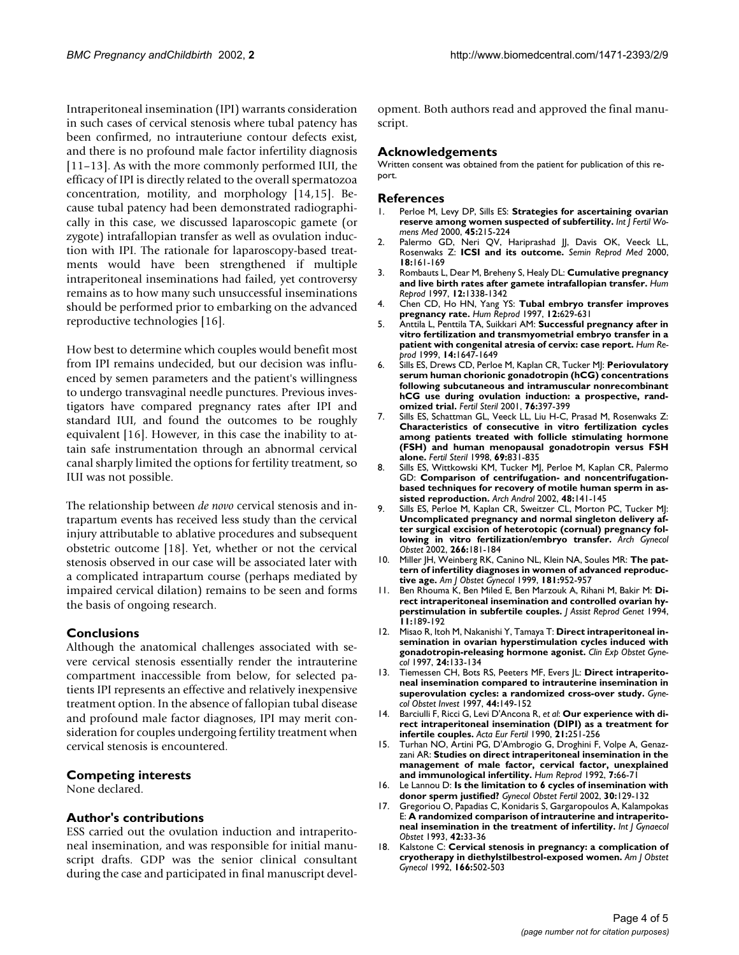Intraperitoneal insemination (IPI) warrants consideration in such cases of cervical stenosis where tubal patency has been confirmed, no intrauteriune contour defects exist, and there is no profound male factor infertility diagnosis [11–13]. As with the more commonly performed IUI, the efficacy of IPI is directly related to the overall spermatozoa concentration, motility, and morphology [14,15]. Because tubal patency had been demonstrated radiographically in this case, we discussed laparoscopic gamete (or zygote) intrafallopian transfer as well as ovulation induction with IPI. The rationale for laparoscopy-based treatments would have been strengthened if multiple intraperitoneal inseminations had failed, yet controversy remains as to how many such unsuccessful inseminations should be performed prior to embarking on the advanced reproductive technologies [16].

How best to determine which couples would benefit most from IPI remains undecided, but our decision was influenced by semen parameters and the patient's willingness to undergo transvaginal needle punctures. Previous investigators have compared pregnancy rates after IPI and standard IUI, and found the outcomes to be roughly equivalent [16]. However, in this case the inability to attain safe instrumentation through an abnormal cervical canal sharply limited the options for fertility treatment, so IUI was not possible.

The relationship between *de novo* cervical stenosis and intrapartum events has received less study than the cervical injury attributable to ablative procedures and subsequent obstetric outcome [18]. Yet, whether or not the cervical stenosis observed in our case will be associated later with a complicated intrapartum course (perhaps mediated by impaired cervical dilation) remains to be seen and forms the basis of ongoing research.

#### **Conclusions**

Although the anatomical challenges associated with severe cervical stenosis essentially render the intrauterine compartment inaccessible from below, for selected patients IPI represents an effective and relatively inexpensive treatment option. In the absence of fallopian tubal disease and profound male factor diagnoses, IPI may merit consideration for couples undergoing fertility treatment when cervical stenosis is encountered.

#### **Competing interests**

None declared.

#### **Author's contributions**

ESS carried out the ovulation induction and intraperitoneal insemination, and was responsible for initial manuscript drafts. GDP was the senior clinical consultant during the case and participated in final manuscript development. Both authors read and approved the final manuscript.

#### **Acknowledgements**

Written consent was obtained from the patient for publication of this report.

#### **References**

- 1. [Perloe M, Levy DP, Sills ES:](http://www.ncbi.nlm.nih.gov/entrez/query.fcgi?cmd=Retrieve&db=PubMed&dopt=Abstract&list_uids=10929684) **[Strategies for ascertaining ovarian](http://www.ncbi.nlm.nih.gov/entrez/query.fcgi?cmd=Retrieve&db=PubMed&dopt=Abstract&list_uids=10929684) [reserve among women suspected of subfertility.](http://www.ncbi.nlm.nih.gov/entrez/query.fcgi?cmd=Retrieve&db=PubMed&dopt=Abstract&list_uids=10929684)** *Int J Fertil Womens Med* 2000, **45:**215-224
- 2. [Palermo GD, Neri QV, Hariprashad JJ, Davis OK, Veeck LL,](http://www.ncbi.nlm.nih.gov/entrez/query.fcgi?cmd=Retrieve&db=PubMed&dopt=Abstract&list_uids=11256166) [Rosenwaks Z:](http://www.ncbi.nlm.nih.gov/entrez/query.fcgi?cmd=Retrieve&db=PubMed&dopt=Abstract&list_uids=11256166) **[ICSI and its outcome.](http://www.ncbi.nlm.nih.gov/entrez/query.fcgi?cmd=Retrieve&db=PubMed&dopt=Abstract&list_uids=10.1055/s-2000-12555)** *Semin Reprod Med* 2000, **18:**161-169
- 3. [Rombauts L, Dear M, Breheny S, Healy DL:](http://www.ncbi.nlm.nih.gov/entrez/query.fcgi?cmd=Retrieve&db=PubMed&dopt=Abstract&list_uids=9222027) **[Cumulative pregnancy](http://www.ncbi.nlm.nih.gov/entrez/query.fcgi?cmd=Retrieve&db=PubMed&dopt=Abstract&list_uids=10.1093/humrep/12.6.1338) [and live birth rates after gamete intrafallopian transfer.](http://www.ncbi.nlm.nih.gov/entrez/query.fcgi?cmd=Retrieve&db=PubMed&dopt=Abstract&list_uids=10.1093/humrep/12.6.1338)** *Hum Reprod* 1997, **12:**1338-1342
- 4. [Chen CD, Ho HN, Yang YS:](http://www.ncbi.nlm.nih.gov/entrez/query.fcgi?cmd=Retrieve&db=PubMed&dopt=Abstract&list_uids=9130773) **[Tubal embryo transfer improves](http://www.ncbi.nlm.nih.gov/entrez/query.fcgi?cmd=Retrieve&db=PubMed&dopt=Abstract&list_uids=9130773) [pregnancy rate.](http://www.ncbi.nlm.nih.gov/entrez/query.fcgi?cmd=Retrieve&db=PubMed&dopt=Abstract&list_uids=9130773)** *Hum Reprod* 1997, **12:**629-631
- 5. [Anttila L, Penttila TA, Suikkari AM:](http://www.ncbi.nlm.nih.gov/entrez/query.fcgi?cmd=Retrieve&db=PubMed&dopt=Abstract&list_uids=10357993) **[Successful pregnancy after in](http://www.ncbi.nlm.nih.gov/entrez/query.fcgi?cmd=Retrieve&db=PubMed&dopt=Abstract&list_uids=10.1093/humrep/14.6.1647) [vitro fertilization and transmyometrial embryo transfer in a](http://www.ncbi.nlm.nih.gov/entrez/query.fcgi?cmd=Retrieve&db=PubMed&dopt=Abstract&list_uids=10.1093/humrep/14.6.1647) [patient with congenital atresia of cervix: case report.](http://www.ncbi.nlm.nih.gov/entrez/query.fcgi?cmd=Retrieve&db=PubMed&dopt=Abstract&list_uids=10.1093/humrep/14.6.1647)** *Hum Reprod* 1999, **14:**1647-1649
- 6. [Sills ES, Drews CD, Perloe M, Kaplan CR, Tucker MJ:](http://www.ncbi.nlm.nih.gov/entrez/query.fcgi?cmd=Retrieve&db=PubMed&dopt=Abstract&list_uids=11476796) **[Periovulatory](http://www.ncbi.nlm.nih.gov/entrez/query.fcgi?cmd=Retrieve&db=PubMed&dopt=Abstract&list_uids=10.1016/S0015-0282(01)01903-3) [serum human chorionic gonadotropin \(hCG\) concentrations](http://www.ncbi.nlm.nih.gov/entrez/query.fcgi?cmd=Retrieve&db=PubMed&dopt=Abstract&list_uids=10.1016/S0015-0282(01)01903-3) following subcutaneous and intramuscular nonrecombinant hCG use during ovulation induction: a prospective, rand[omized trial.](http://www.ncbi.nlm.nih.gov/entrez/query.fcgi?cmd=Retrieve&db=PubMed&dopt=Abstract&list_uids=10.1016/S0015-0282(01)01903-3)** *Fertil Steril* 2001, **76:**397-399
- [7. Sills ES, Schattman GL, Veeck LL, Liu H-C, Prasad M, Rosenwaks Z:](http://www.ncbi.nlm.nih.gov/entrez/query.fcgi?cmd=Retrieve&db=PubMed&dopt=Abstract&list_uids=9591488) **[Characteristics of consecutive in vitro fertilization cycles](http://www.ncbi.nlm.nih.gov/entrez/query.fcgi?cmd=Retrieve&db=PubMed&dopt=Abstract&list_uids=10.1016/S0015-0282(98)00046-6) among patients treated with follicle stimulating hormone [\(FSH\) and human menopausal gonadotropin versus FSH](http://www.ncbi.nlm.nih.gov/entrez/query.fcgi?cmd=Retrieve&db=PubMed&dopt=Abstract&list_uids=10.1016/S0015-0282(98)00046-6) [alone.](http://www.ncbi.nlm.nih.gov/entrez/query.fcgi?cmd=Retrieve&db=PubMed&dopt=Abstract&list_uids=10.1016/S0015-0282(98)00046-6)** *Fertil Steril* 1998, **69:**831-835
- 8. [Sills ES, Wittkowski KM, Tucker MJ, Perloe M, Kaplan CR, Palermo](http://www.ncbi.nlm.nih.gov/entrez/query.fcgi?cmd=Retrieve&db=PubMed&dopt=Abstract&list_uids=11868627) [GD:](http://www.ncbi.nlm.nih.gov/entrez/query.fcgi?cmd=Retrieve&db=PubMed&dopt=Abstract&list_uids=11868627) **[Comparison of centrifugation- and noncentrifugation](http://www.ncbi.nlm.nih.gov/entrez/query.fcgi?cmd=Retrieve&db=PubMed&dopt=Abstract&list_uids=10.1080/014850102317267454)[based techniques for recovery of motile human sperm in as](http://www.ncbi.nlm.nih.gov/entrez/query.fcgi?cmd=Retrieve&db=PubMed&dopt=Abstract&list_uids=10.1080/014850102317267454)[sisted reproduction.](http://www.ncbi.nlm.nih.gov/entrez/query.fcgi?cmd=Retrieve&db=PubMed&dopt=Abstract&list_uids=10.1080/014850102317267454)** *Arch Androl* 2002, **48:**141-145
- Sills ES, Perloe M, Kaplan CR, Sweitzer CL, Morton PC, Tucker MJ: **[Uncomplicated pregnancy and normal singleton delivery af](http://www.ncbi.nlm.nih.gov/entrez/query.fcgi?cmd=Retrieve&db=PubMed&dopt=Abstract&list_uids=12197563)[ter surgical excision of heterotopic \(cornual\) pregnancy fol](http://www.ncbi.nlm.nih.gov/entrez/query.fcgi?cmd=Retrieve&db=PubMed&dopt=Abstract&list_uids=12197563)[lowing in vitro fertilization/embryo transfer.](http://www.ncbi.nlm.nih.gov/entrez/query.fcgi?cmd=Retrieve&db=PubMed&dopt=Abstract&list_uids=12197563)** *Arch Gynecol Obstet* 2002, **266:**181-184
- 10. [Miller JH, Weinberg RK, Canino NL, Klein NA, Soules MR:](http://www.ncbi.nlm.nih.gov/entrez/query.fcgi?cmd=Retrieve&db=PubMed&dopt=Abstract&list_uids=10521760) **[The pat](http://www.ncbi.nlm.nih.gov/entrez/query.fcgi?cmd=Retrieve&db=PubMed&dopt=Abstract&list_uids=10521760)[tern of infertility diagnoses in women of advanced reproduc](http://www.ncbi.nlm.nih.gov/entrez/query.fcgi?cmd=Retrieve&db=PubMed&dopt=Abstract&list_uids=10521760)[tive age.](http://www.ncbi.nlm.nih.gov/entrez/query.fcgi?cmd=Retrieve&db=PubMed&dopt=Abstract&list_uids=10521760)** *Am J Obstet Gynecol* 1999, **181:**952-957
- 11. [Ben Rhouma K, Ben Miled E, Ben Marzouk A, Rihani M, Bakir M:](http://www.ncbi.nlm.nih.gov/entrez/query.fcgi?cmd=Retrieve&db=PubMed&dopt=Abstract&list_uids=7711381) **[Di](http://www.ncbi.nlm.nih.gov/entrez/query.fcgi?cmd=Retrieve&db=PubMed&dopt=Abstract&list_uids=7711381)[rect intraperitoneal insemination and controlled ovarian hy](http://www.ncbi.nlm.nih.gov/entrez/query.fcgi?cmd=Retrieve&db=PubMed&dopt=Abstract&list_uids=7711381)[perstimulation in subfertile couples.](http://www.ncbi.nlm.nih.gov/entrez/query.fcgi?cmd=Retrieve&db=PubMed&dopt=Abstract&list_uids=7711381)** *J Assist Reprod Genet* 1994, **11:**189-192
- 12. [Misao R, Itoh M, Nakanishi Y, Tamaya T:](http://www.ncbi.nlm.nih.gov/entrez/query.fcgi?cmd=Retrieve&db=PubMed&dopt=Abstract&list_uids=9478296) **[Direct intraperitoneal in](http://www.ncbi.nlm.nih.gov/entrez/query.fcgi?cmd=Retrieve&db=PubMed&dopt=Abstract&list_uids=9478296)[semination in ovarian hyperstimulation cycles induced with](http://www.ncbi.nlm.nih.gov/entrez/query.fcgi?cmd=Retrieve&db=PubMed&dopt=Abstract&list_uids=9478296) [gonadotropin-releasing hormone agonist.](http://www.ncbi.nlm.nih.gov/entrez/query.fcgi?cmd=Retrieve&db=PubMed&dopt=Abstract&list_uids=9478296)** *Clin Exp Obstet Gynecol* 1997, **24:**133-134
- 13. [Tiemessen CH, Bots RS, Peeters MF, Evers JL:](http://www.ncbi.nlm.nih.gov/entrez/query.fcgi?cmd=Retrieve&db=PubMed&dopt=Abstract&list_uids=9359638) **[Direct intraperito](http://www.ncbi.nlm.nih.gov/entrez/query.fcgi?cmd=Retrieve&db=PubMed&dopt=Abstract&list_uids=9359638)[neal insemination compared to intrauterine insemination in](http://www.ncbi.nlm.nih.gov/entrez/query.fcgi?cmd=Retrieve&db=PubMed&dopt=Abstract&list_uids=9359638) [superovulation cycles: a randomized cross-over study.](http://www.ncbi.nlm.nih.gov/entrez/query.fcgi?cmd=Retrieve&db=PubMed&dopt=Abstract&list_uids=9359638)** *Gynecol Obstet Invest* 1997, **44:**149-152
- 14. [Barciulli F, Ricci G, Levi D'Ancona R,](http://www.ncbi.nlm.nih.gov/entrez/query.fcgi?cmd=Retrieve&db=PubMed&dopt=Abstract&list_uids=2132477) *et al*: **[Our experience with di](http://www.ncbi.nlm.nih.gov/entrez/query.fcgi?cmd=Retrieve&db=PubMed&dopt=Abstract&list_uids=2132477)[rect intraperitoneal insemination \(DIPI\) as a treatment for](http://www.ncbi.nlm.nih.gov/entrez/query.fcgi?cmd=Retrieve&db=PubMed&dopt=Abstract&list_uids=2132477) [infertile couples.](http://www.ncbi.nlm.nih.gov/entrez/query.fcgi?cmd=Retrieve&db=PubMed&dopt=Abstract&list_uids=2132477)** *Acta Eur Fertil* 1990, **21:**251-256
- 15. [Turhan NO, Artini PG, D'Ambrogio G, Droghini F, Volpe A, Genaz](http://www.ncbi.nlm.nih.gov/entrez/query.fcgi?cmd=Retrieve&db=PubMed&dopt=Abstract&list_uids=1551962)[zani AR:](http://www.ncbi.nlm.nih.gov/entrez/query.fcgi?cmd=Retrieve&db=PubMed&dopt=Abstract&list_uids=1551962) **[Studies on direct intraperitoneal insemination in the](http://www.ncbi.nlm.nih.gov/entrez/query.fcgi?cmd=Retrieve&db=PubMed&dopt=Abstract&list_uids=1551962) [management of male factor, cervical factor, unexplained](http://www.ncbi.nlm.nih.gov/entrez/query.fcgi?cmd=Retrieve&db=PubMed&dopt=Abstract&list_uids=1551962) [and immunological infertility.](http://www.ncbi.nlm.nih.gov/entrez/query.fcgi?cmd=Retrieve&db=PubMed&dopt=Abstract&list_uids=1551962)** *Hum Reprod* 1992, **7:**66-71
- 16. [Le Lannou D:](http://www.ncbi.nlm.nih.gov/entrez/query.fcgi?cmd=Retrieve&db=PubMed&dopt=Abstract&list_uids=11910881) **[Is the limitation to 6 cycles of insemination with](http://www.ncbi.nlm.nih.gov/entrez/query.fcgi?cmd=Retrieve&db=PubMed&dopt=Abstract&list_uids=10.1016/S1297-9589(01)00279-X) [donor sperm justified?](http://www.ncbi.nlm.nih.gov/entrez/query.fcgi?cmd=Retrieve&db=PubMed&dopt=Abstract&list_uids=10.1016/S1297-9589(01)00279-X)** *Gynecol Obstet Fertil* 2002, **30:**129-132
- 17. [Gregoriou O, Papadias C, Konidaris S, Gargaropoulos A, Kalampokas](http://www.ncbi.nlm.nih.gov/entrez/query.fcgi?cmd=Retrieve&db=PubMed&dopt=Abstract&list_uids=8103473) [E:](http://www.ncbi.nlm.nih.gov/entrez/query.fcgi?cmd=Retrieve&db=PubMed&dopt=Abstract&list_uids=8103473) **[A randomized comparison of intrauterine and intraperito](http://www.ncbi.nlm.nih.gov/entrez/query.fcgi?cmd=Retrieve&db=PubMed&dopt=Abstract&list_uids=8103473)[neal insemination in the treatment of infertility.](http://www.ncbi.nlm.nih.gov/entrez/query.fcgi?cmd=Retrieve&db=PubMed&dopt=Abstract&list_uids=8103473)** *Int J Gynaecol Obstet* 1993, **42:**33-36
- 18. [Kalstone C:](http://www.ncbi.nlm.nih.gov/entrez/query.fcgi?cmd=Retrieve&db=PubMed&dopt=Abstract&list_uids=1536219) **[Cervical stenosis in pregnancy: a complication of](http://www.ncbi.nlm.nih.gov/entrez/query.fcgi?cmd=Retrieve&db=PubMed&dopt=Abstract&list_uids=1536219) [cryotherapy in diethylstilbestrol-exposed women.](http://www.ncbi.nlm.nih.gov/entrez/query.fcgi?cmd=Retrieve&db=PubMed&dopt=Abstract&list_uids=1536219)** *Am J Obstet Gynecol* 1992, **166:**502-503